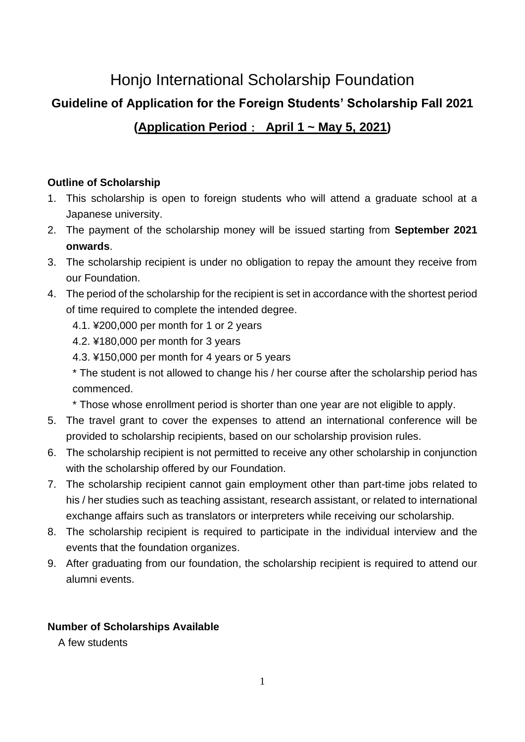# Honjo International Scholarship Foundation

# **Guideline of Application for the Foreign Students' Scholarship Fall 2021**

# **(Application Period**: **April 1 ~ May 5, 2021)**

## **Outline of Scholarship**

- 1. This scholarship is open to foreign students who will attend a graduate school at a Japanese university.
- 2. The payment of the scholarship money will be issued starting from **September 2021 onwards**.
- 3. The scholarship recipient is under no obligation to repay the amount they receive from our Foundation.
- 4. The period of the scholarship for the recipient is set in accordance with the shortest period of time required to complete the intended degree.
	- 4.1. ¥200,000 per month for 1 or 2 years
	- 4.2. ¥180,000 per month for 3 years
	- 4.3. ¥150,000 per month for 4 years or 5 years
	- \* The student is not allowed to change his / her course after the scholarship period has commenced.
	- \* Those whose enrollment period is shorter than one year are not eligible to apply.
- 5. The travel grant to cover the expenses to attend an international conference will be provided to scholarship recipients, based on our scholarship provision rules.
- 6. The scholarship recipient is not permitted to receive any other scholarship in conjunction with the scholarship offered by our Foundation.
- 7. The scholarship recipient cannot gain employment other than part-time jobs related to his / her studies such as teaching assistant, research assistant, or related to international exchange affairs such as translators or interpreters while receiving our scholarship.
- 8. The scholarship recipient is required to participate in the individual interview and the events that the foundation organizes.
- 9. After graduating from our foundation, the scholarship recipient is required to attend our alumni events.

# **Number of Scholarships Available**

A few students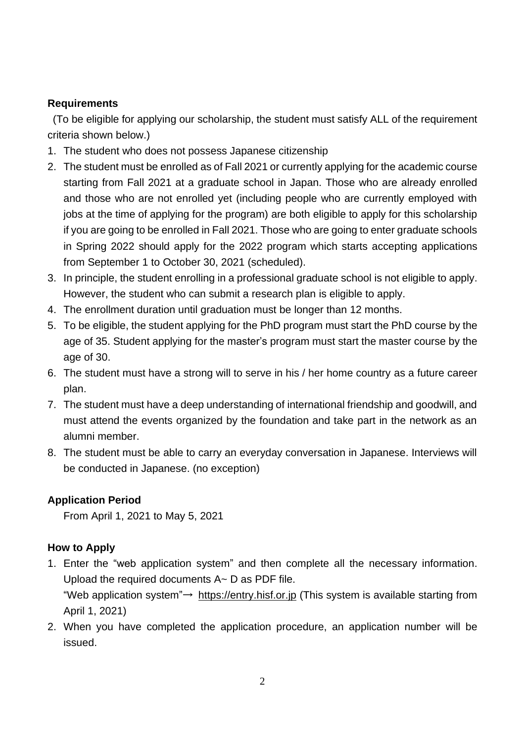### **Requirements**

(To be eligible for applying our scholarship, the student must satisfy ALL of the requirement criteria shown below.)

- 1. The student who does not possess Japanese citizenship
- 2. The student must be enrolled as of Fall 2021 or currently applying for the academic course starting from Fall 2021 at a graduate school in Japan. Those who are already enrolled and those who are not enrolled yet (including people who are currently employed with jobs at the time of applying for the program) are both eligible to apply for this scholarship if you are going to be enrolled in Fall 2021. Those who are going to enter graduate schools in Spring 2022 should apply for the 2022 program which starts accepting applications from September 1 to October 30, 2021 (scheduled).
- 3. In principle, the student enrolling in a professional graduate school is not eligible to apply. However, the student who can submit a research plan is eligible to apply.
- 4. The enrollment duration until graduation must be longer than 12 months.
- 5. To be eligible, the student applying for the PhD program must start the PhD course by the age of 35. Student applying for the master's program must start the master course by the age of 30.
- 6. The student must have a strong will to serve in his / her home country as a future career plan.
- 7. The student must have a deep understanding of international friendship and goodwill, and must attend the events organized by the foundation and take part in the network as an alumni member.
- 8. The student must be able to carry an everyday conversation in Japanese. Interviews will be conducted in Japanese. (no exception)

#### **Application Period**

From April 1, 2021 to May 5, 2021

#### **How to Apply**

- 1. Enter the "web application system" and then complete all the necessary information. Upload the required documents A~ D as PDF file. "Web application system"→ [https://entry.hisf.or.jp](about:blank) (This system is available starting from April 1, 2021)
- 2. When you have completed the application procedure, an application number will be issued.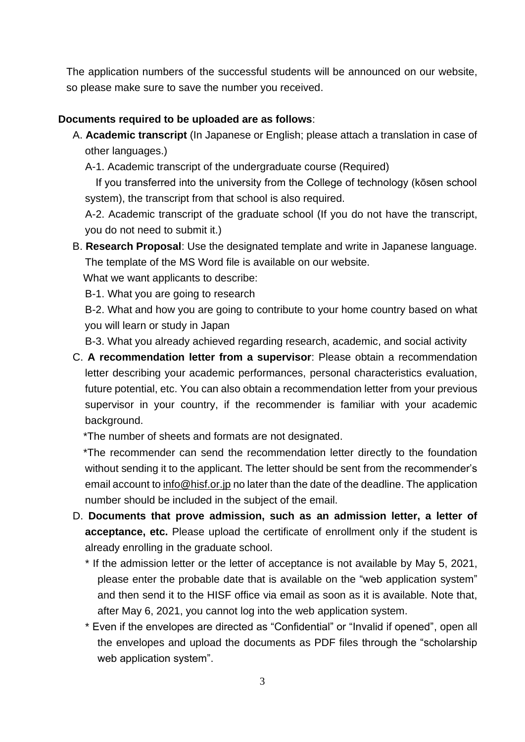The application numbers of the successful students will be announced on our website, so please make sure to save the number you received.

#### **Documents required to be uploaded are as follows**:

- A. **Academic transcript** (In Japanese or English; please attach a translation in case of other languages.)
	- A-1. Academic transcript of the undergraduate course (Required)

If you transferred into the university from the College of technology (kōsen school system), the transcript from that school is also required.

A-2. Academic transcript of the graduate school (If you do not have the transcript, you do not need to submit it.)

B. **Research Proposal**: Use the designated template and write in Japanese language. The template of the MS Word file is available on our website.

What we want applicants to describe:

B-1. What you are going to research

B-2. What and how you are going to contribute to your home country based on what you will learn or study in Japan

B-3. What you already achieved regarding research, academic, and social activity

C. **A recommendation letter from a supervisor**: Please obtain a recommendation letter describing your academic performances, personal characteristics evaluation, future potential, etc. You can also obtain a recommendation letter from your previous supervisor in your country, if the recommender is familiar with your academic background.

\*The number of sheets and formats are not designated.

 \*The recommender can send the recommendation letter directly to the foundation without sending it to the applicant. The letter should be sent from the recommender's email account to info@hisf.or.jp no later than the date of the deadline. The application number should be included in the subject of the email.

- D. **Documents that prove admission, such as an admission letter, a letter of acceptance, etc.** Please upload the certificate of enrollment only if the student is already enrolling in the graduate school.
	- \* If the admission letter or the letter of acceptance is not available by May 5, 2021, please enter the probable date that is available on the "web application system" and then send it to the HISF office via email as soon as it is available. Note that, after May 6, 2021, you cannot log into the web application system.
	- \* Even if the envelopes are directed as "Confidential" or "Invalid if opened", open all the envelopes and upload the documents as PDF files through the "scholarship web application system".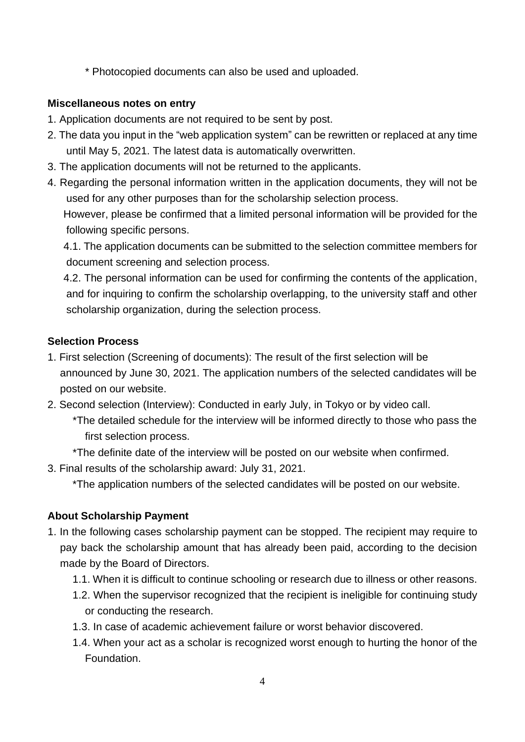\* Photocopied documents can also be used and uploaded.

#### **Miscellaneous notes on entry**

following specific persons.

- 1. Application documents are not required to be sent by post.
- 2. The data you input in the "web application system" can be rewritten or replaced at any time until May 5, 2021. The latest data is automatically overwritten.
- 3. The application documents will not be returned to the applicants.
- 4. Regarding the personal information written in the application documents, they will not be used for any other purposes than for the scholarship selection process. However, please be confirmed that a limited personal information will be provided for the

4.1. The application documents can be submitted to the selection committee members for document screening and selection process.

4.2. The personal information can be used for confirming the contents of the application, and for inquiring to confirm the scholarship overlapping, to the university staff and other scholarship organization, during the selection process.

#### **Selection Process**

- 1. First selection (Screening of documents): The result of the first selection will be announced by June 30, 2021. The application numbers of the selected candidates will be posted on our website.
- 2. Second selection (Interview): Conducted in early July, in Tokyo or by video call.
	- \*The detailed schedule for the interview will be informed directly to those who pass the first selection process.
	- \*The definite date of the interview will be posted on our website when confirmed.
- 3. Final results of the scholarship award: July 31, 2021.

\*The application numbers of the selected candidates will be posted on our website.

## **About Scholarship Payment**

- 1. In the following cases scholarship payment can be stopped. The recipient may require to pay back the scholarship amount that has already been paid, according to the decision made by the Board of Directors.
	- 1.1. When it is difficult to continue schooling or research due to illness or other reasons.
	- 1.2. When the supervisor recognized that the recipient is ineligible for continuing study or conducting the research.
	- 1.3. In case of academic achievement failure or worst behavior discovered.
	- 1.4. When your act as a scholar is recognized worst enough to hurting the honor of the **Foundation**